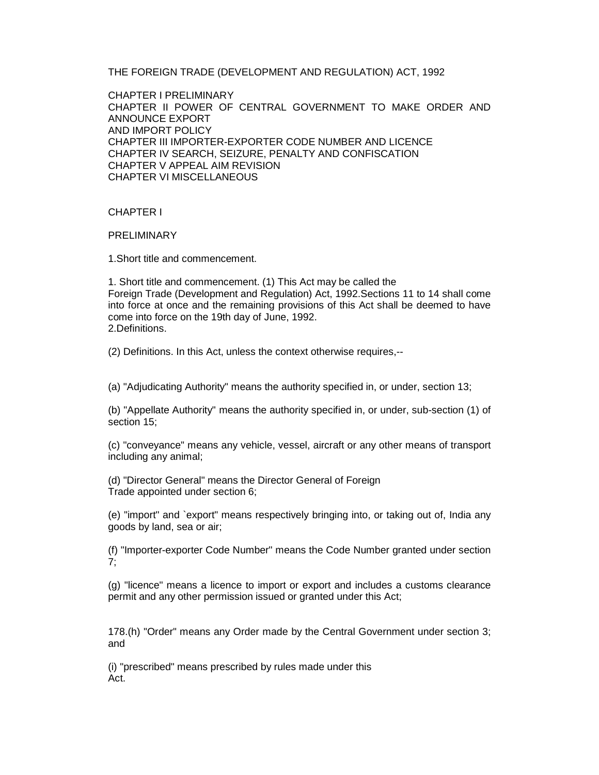THE FOREIGN TRADE (DEVELOPMENT AND REGULATION) ACT, 1992

CHAPTER I PRELIMINARY CHAPTER II POWER OF CENTRAL GOVERNMENT TO MAKE ORDER AND ANNOUNCE EXPORT AND IMPORT POLICY CHAPTER III IMPORTER-EXPORTER CODE NUMBER AND LICENCE CHAPTER IV SEARCH, SEIZURE, PENALTY AND CONFISCATION CHAPTER V APPEAL AIM REVISION CHAPTER VI MISCELLANEOUS

CHAPTER I

**PRELIMINARY** 

1.Short title and commencement.

1. Short title and commencement. (1) This Act may be called the Foreign Trade (Development and Regulation) Act, 1992.Sections 11 to 14 shall come into force at once and the remaining provisions of this Act shall be deemed to have come into force on the 19th day of June, 1992. 2.Definitions.

(2) Definitions. In this Act, unless the context otherwise requires,--

(a) "Adjudicating Authority" means the authority specified in, or under, section 13;

(b) "Appellate Authority" means the authority specified in, or under, sub-section (1) of section 15;

(c) "conveyance" means any vehicle, vessel, aircraft or any other means of transport including any animal;

(d) "Director General" means the Director General of Foreign Trade appointed under section 6;

(e) "import" and `export" means respectively bringing into, or taking out of, India any goods by land, sea or air;

(f) "Importer-exporter Code Number" means the Code Number granted under section 7;

(g) "licence" means a licence to import or export and includes a customs clearance permit and any other permission issued or granted under this Act;

178.(h) "Order" means any Order made by the Central Government under section 3; and

(i) "prescribed" means prescribed by rules made under this Act.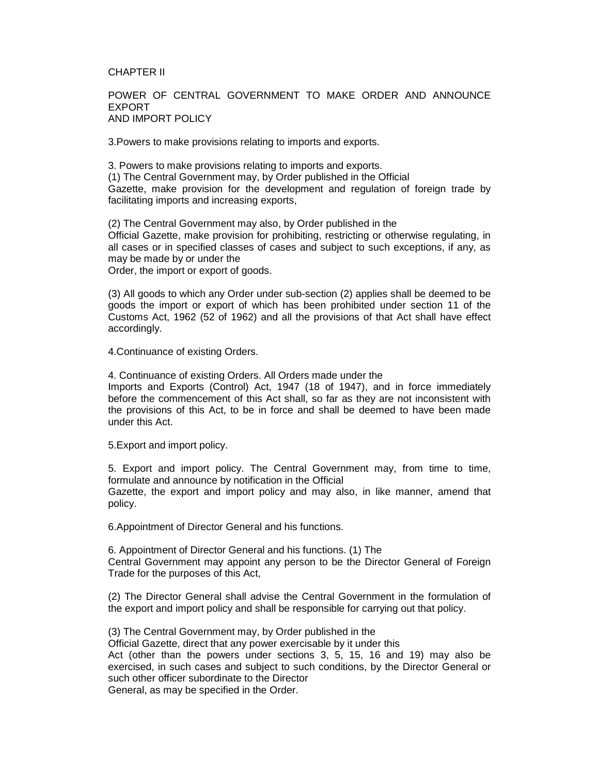### CHAPTER II

### POWER OF CENTRAL GOVERNMENT TO MAKE ORDER AND ANNOUNCE EXPORT AND IMPORT POLICY

3.Powers to make provisions relating to imports and exports.

3. Powers to make provisions relating to imports and exports. (1) The Central Government may, by Order published in the Official Gazette, make provision for the development and regulation of foreign trade by facilitating imports and increasing exports,

(2) The Central Government may also, by Order published in the Official Gazette, make provision for prohibiting, restricting or otherwise regulating, in all cases or in specified classes of cases and subject to such exceptions, if any, as may be made by or under the Order, the import or export of goods.

(3) All goods to which any Order under sub-section (2) applies shall be deemed to be goods the import or export of which has been prohibited under section 11 of the Customs Act, 1962 (52 of 1962) and all the provisions of that Act shall have effect accordingly.

4.Continuance of existing Orders.

4. Continuance of existing Orders. All Orders made under the Imports and Exports (Control) Act, 1947 (18 of 1947), and in force immediately before the commencement of this Act shall, so far as they are not inconsistent with the provisions of this Act, to be in force and shall be deemed to have been made under this Act.

5.Export and import policy.

5. Export and import policy. The Central Government may, from time to time, formulate and announce by notification in the Official

Gazette, the export and import policy and may also, in like manner, amend that policy.

6.Appointment of Director General and his functions.

6. Appointment of Director General and his functions. (1) The Central Government may appoint any person to be the Director General of Foreign Trade for the purposes of this Act,

(2) The Director General shall advise the Central Government in the formulation of the export and import policy and shall be responsible for carrying out that policy.

(3) The Central Government may, by Order published in the

Official Gazette, direct that any power exercisable by it under this

Act (other than the powers under sections 3, 5, 15, 16 and 19) may also be exercised, in such cases and subject to such conditions, by the Director General or such other officer subordinate to the Director

General, as may be specified in the Order.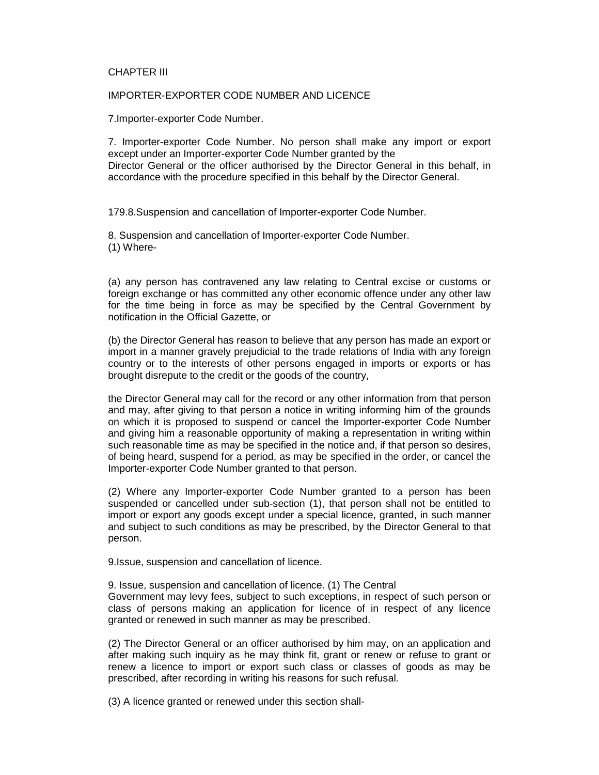### CHAPTER III

#### IMPORTER-EXPORTER CODE NUMBER AND LICENCE

7.Importer-exporter Code Number.

7. Importer-exporter Code Number. No person shall make any import or export except under an Importer-exporter Code Number granted by the Director General or the officer authorised by the Director General in this behalf, in accordance with the procedure specified in this behalf by the Director General.

179.8.Suspension and cancellation of Importer-exporter Code Number.

8. Suspension and cancellation of Importer-exporter Code Number. (1) Where-

(a) any person has contravened any law relating to Central excise or customs or foreign exchange or has committed any other economic offence under any other law for the time being in force as may be specified by the Central Government by notification in the Official Gazette, or

(b) the Director General has reason to believe that any person has made an export or import in a manner gravely prejudicial to the trade relations of India with any foreign country or to the interests of other persons engaged in imports or exports or has brought disrepute to the credit or the goods of the country,

the Director General may call for the record or any other information from that person and may, after giving to that person a notice in writing informing him of the grounds on which it is proposed to suspend or cancel the Importer-exporter Code Number and giving him a reasonable opportunity of making a representation in writing within such reasonable time as may be specified in the notice and, if that person so desires, of being heard, suspend for a period, as may be specified in the order, or cancel the Importer-exporter Code Number granted to that person.

(2) Where any Importer-exporter Code Number granted to a person has been suspended or cancelled under sub-section (1), that person shall not be entitled to import or export any goods except under a special licence, granted, in such manner and subject to such conditions as may be prescribed, by the Director General to that person.

9.Issue, suspension and cancellation of licence.

9. Issue, suspension and cancellation of licence. (1) The Central Government may levy fees, subject to such exceptions, in respect of such person or class of persons making an application for licence of in respect of any licence granted or renewed in such manner as may be prescribed.

(2) The Director General or an officer authorised by him may, on an application and after making such inquiry as he may think fit, grant or renew or refuse to grant or renew a licence to import or export such class or classes of goods as may be prescribed, after recording in writing his reasons for such refusal.

(3) A licence granted or renewed under this section shall-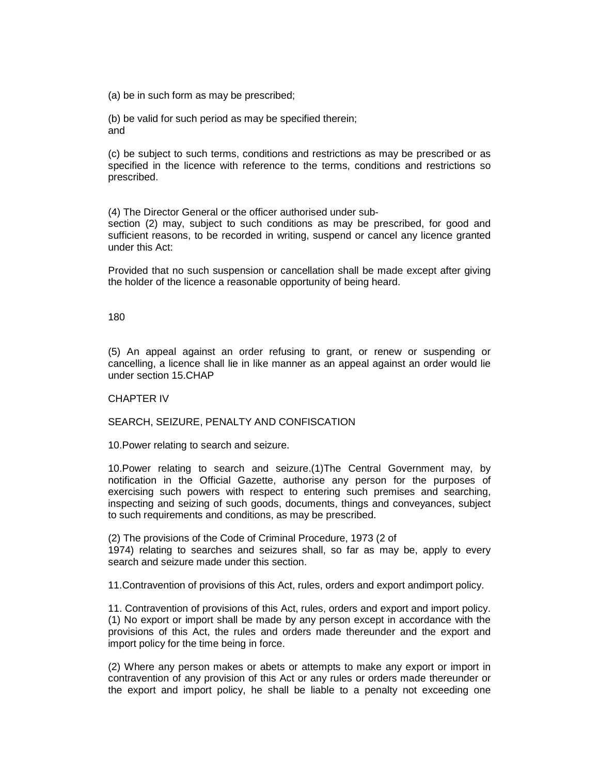(a) be in such form as may be prescribed;

(b) be valid for such period as may be specified therein; and

(c) be subject to such terms, conditions and restrictions as may be prescribed or as specified in the licence with reference to the terms, conditions and restrictions so prescribed.

(4) The Director General or the officer authorised under sub-

section (2) may, subject to such conditions as may be prescribed, for good and sufficient reasons, to be recorded in writing, suspend or cancel any licence granted under this Act:

Provided that no such suspension or cancellation shall be made except after giving the holder of the licence a reasonable opportunity of being heard.

# 180

(5) An appeal against an order refusing to grant, or renew or suspending or cancelling, a licence shall lie in like manner as an appeal against an order would lie under section 15.CHAP

# CHAPTER IV

SEARCH, SEIZURE, PENALTY AND CONFISCATION

10.Power relating to search and seizure.

10.Power relating to search and seizure.(1)The Central Government may, by notification in the Official Gazette, authorise any person for the purposes of exercising such powers with respect to entering such premises and searching, inspecting and seizing of such goods, documents, things and conveyances, subject to such requirements and conditions, as may be prescribed.

(2) The provisions of the Code of Criminal Procedure, 1973 (2 of 1974) relating to searches and seizures shall, so far as may be, apply to every search and seizure made under this section.

11.Contravention of provisions of this Act, rules, orders and export andimport policy.

11. Contravention of provisions of this Act, rules, orders and export and import policy. (1) No export or import shall be made by any person except in accordance with the provisions of this Act, the rules and orders made thereunder and the export and import policy for the time being in force.

(2) Where any person makes or abets or attempts to make any export or import in contravention of any provision of this Act or any rules or orders made thereunder or the export and import policy, he shall be liable to a penalty not exceeding one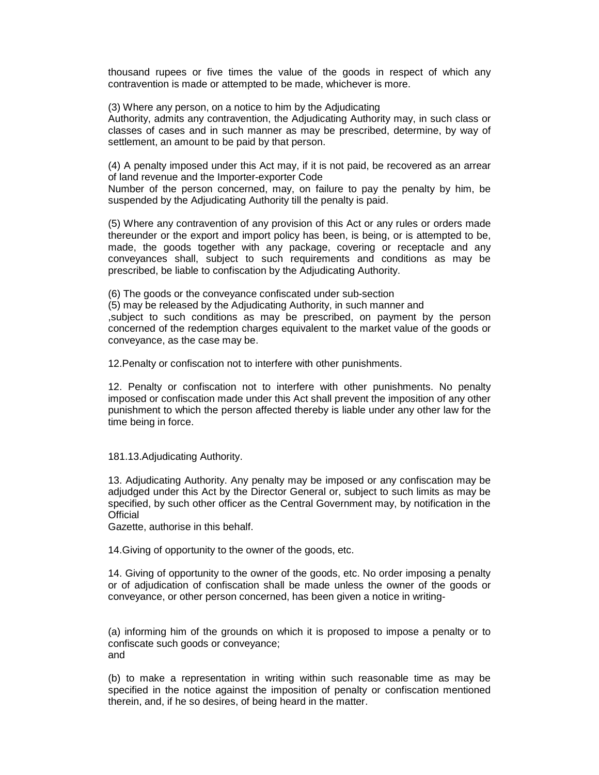thousand rupees or five times the value of the goods in respect of which any contravention is made or attempted to be made, whichever is more.

(3) Where any person, on a notice to him by the Adjudicating

Authority, admits any contravention, the Adjudicating Authority may, in such class or classes of cases and in such manner as may be prescribed, determine, by way of settlement, an amount to be paid by that person.

(4) A penalty imposed under this Act may, if it is not paid, be recovered as an arrear of land revenue and the Importer-exporter Code

Number of the person concerned, may, on failure to pay the penalty by him, be suspended by the Adjudicating Authority till the penalty is paid.

(5) Where any contravention of any provision of this Act or any rules or orders made thereunder or the export and import policy has been, is being, or is attempted to be, made, the goods together with any package, covering or receptacle and any conveyances shall, subject to such requirements and conditions as may be prescribed, be liable to confiscation by the Adjudicating Authority.

(6) The goods or the conveyance confiscated under sub-section

(5) may be released by the Adjudicating Authority, in such manner and ,subject to such conditions as may be prescribed, on payment by the person concerned of the redemption charges equivalent to the market value of the goods or conveyance, as the case may be.

12.Penalty or confiscation not to interfere with other punishments.

12. Penalty or confiscation not to interfere with other punishments. No penalty imposed or confiscation made under this Act shall prevent the imposition of any other punishment to which the person affected thereby is liable under any other law for the time being in force.

181.13.Adjudicating Authority.

13. Adjudicating Authority. Any penalty may be imposed or any confiscation may be adjudged under this Act by the Director General or, subject to such limits as may be specified, by such other officer as the Central Government may, by notification in the **Official** 

Gazette, authorise in this behalf.

14.Giving of opportunity to the owner of the goods, etc.

14. Giving of opportunity to the owner of the goods, etc. No order imposing a penalty or of adjudication of confiscation shall be made unless the owner of the goods or conveyance, or other person concerned, has been given a notice in writing-

(a) informing him of the grounds on which it is proposed to impose a penalty or to confiscate such goods or conveyance; and

(b) to make a representation in writing within such reasonable time as may be specified in the notice against the imposition of penalty or confiscation mentioned therein, and, if he so desires, of being heard in the matter.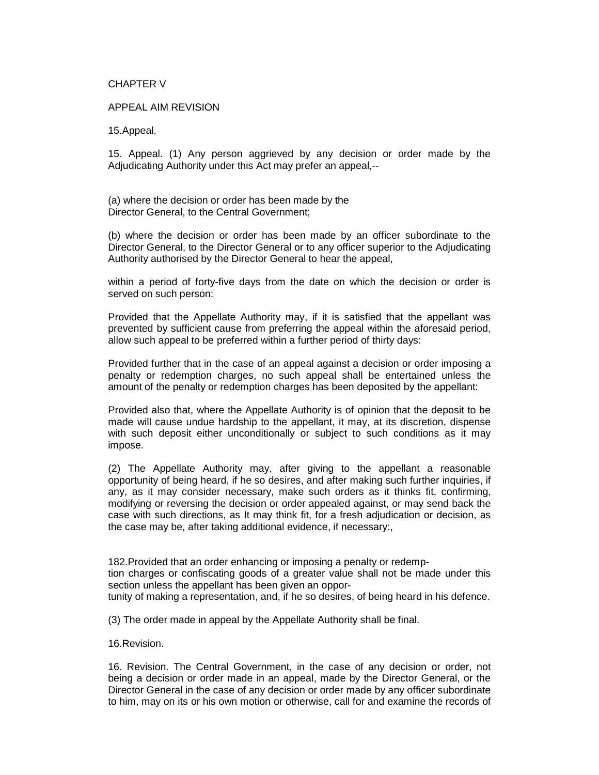## CHAPTER V

# APPEAL AIM REVISION

15.Appeal.

15. Appeal. (1) Any person aggrieved by any decision or order made by the Adjudicating Authority under this Act may prefer an appeal,--

(a) where the decision or order has been made by the Director General, to the Central Government;

(b) where the decision or order has been made by an officer subordinate to the Director General, to the Director General or to any officer superior to the Adjudicating Authority authorised by the Director General to hear the appeal,

within a period of forty-five days from the date on which the decision or order is served on such person:

Provided that the Appellate Authority may, if it is satisfied that the appellant was prevented by sufficient cause from preferring the appeal within the aforesaid period, allow such appeal to be preferred within a further period of thirty days:

Provided further that in the case of an appeal against a decision or order imposing a penalty or redemption charges, no such appeal shall be entertained unless the amount of the penalty or redemption charges has been deposited by the appellant:

Provided also that, where the Appellate Authority is of opinion that the deposit to be made will cause undue hardship to the appellant, it may, at its discretion, dispense with such deposit either unconditionally or subject to such conditions as it may impose.

(2) The Appellate Authority may, after giving to the appellant a reasonable opportunity of being heard, if he so desires, and after making such further inquiries, if any, as it may consider necessary, make such orders as it thinks fit, confirming, modifying or reversing the decision or order appealed against, or may send back the case with such directions, as It may think fit, for a fresh adjudication or decision, as the case may be, after taking additional evidence, if necessary:,

182.Provided that an order enhancing or imposing a penalty or redemp-

tion charges or confiscating goods of a greater value shall not be made under this section unless the appellant has been given an oppor-

tunity of making a representation, and, if he so desires, of being heard in his defence.

(3) The order made in appeal by the Appellate Authority shall be final.

16.Revision.

16. Revision. The Central Government, in the case of any decision or order, not being a decision or order made in an appeal, made by the Director General, or the Director General in the case of any decision or order made by any officer subordinate to him, may on its or his own motion or otherwise, call for and examine the records of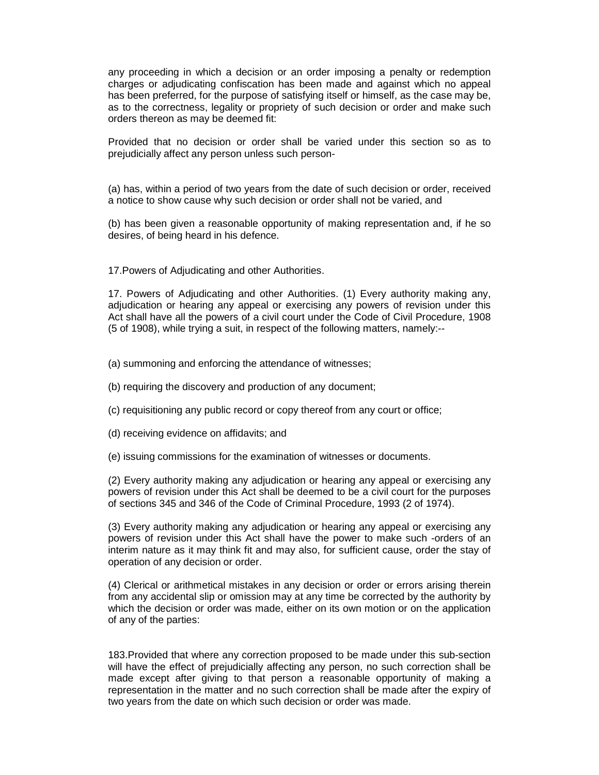any proceeding in which a decision or an order imposing a penalty or redemption charges or adjudicating confiscation has been made and against which no appeal has been preferred, for the purpose of satisfying itself or himself, as the case may be, as to the correctness, legality or propriety of such decision or order and make such orders thereon as may be deemed fit:

Provided that no decision or order shall be varied under this section so as to prejudicially affect any person unless such person-

(a) has, within a period of two years from the date of such decision or order, received a notice to show cause why such decision or order shall not be varied, and

(b) has been given a reasonable opportunity of making representation and, if he so desires, of being heard in his defence.

17.Powers of Adjudicating and other Authorities.

17. Powers of Adjudicating and other Authorities. (1) Every authority making any, adjudication or hearing any appeal or exercising any powers of revision under this Act shall have all the powers of a civil court under the Code of Civil Procedure, 1908 (5 of 1908), while trying a suit, in respect of the following matters, namely:--

(a) summoning and enforcing the attendance of witnesses;

- (b) requiring the discovery and production of any document;
- (c) requisitioning any public record or copy thereof from any court or office;
- (d) receiving evidence on affidavits; and

(e) issuing commissions for the examination of witnesses or documents.

(2) Every authority making any adjudication or hearing any appeal or exercising any powers of revision under this Act shall be deemed to be a civil court for the purposes of sections 345 and 346 of the Code of Criminal Procedure, 1993 (2 of 1974).

(3) Every authority making any adjudication or hearing any appeal or exercising any powers of revision under this Act shall have the power to make such -orders of an interim nature as it may think fit and may also, for sufficient cause, order the stay of operation of any decision or order.

(4) Clerical or arithmetical mistakes in any decision or order or errors arising therein from any accidental slip or omission may at any time be corrected by the authority by which the decision or order was made, either on its own motion or on the application of any of the parties:

183.Provided that where any correction proposed to be made under this sub-section will have the effect of prejudicially affecting any person, no such correction shall be made except after giving to that person a reasonable opportunity of making a representation in the matter and no such correction shall be made after the expiry of two years from the date on which such decision or order was made.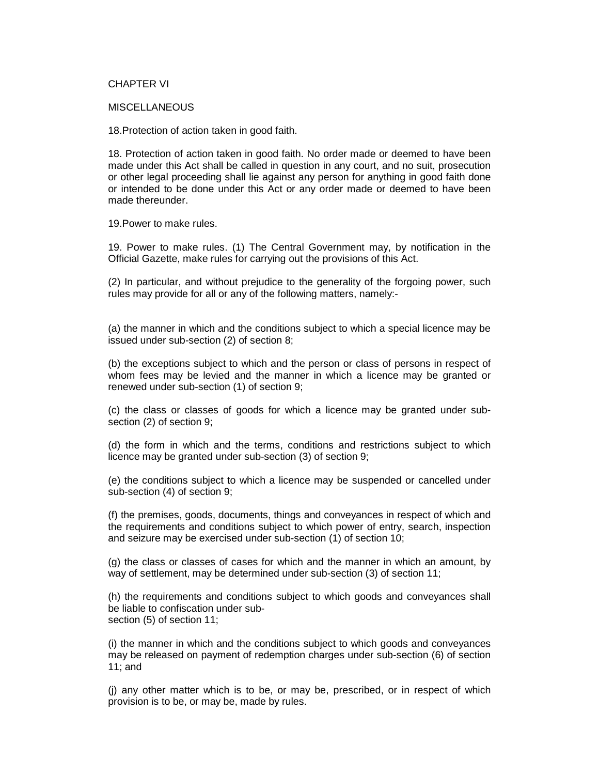### CHAPTER VI

#### **MISCELLANEOUS**

18.Protection of action taken in good faith.

18. Protection of action taken in good faith. No order made or deemed to have been made under this Act shall be called in question in any court, and no suit, prosecution or other legal proceeding shall lie against any person for anything in good faith done or intended to be done under this Act or any order made or deemed to have been made thereunder.

19.Power to make rules.

19. Power to make rules. (1) The Central Government may, by notification in the Official Gazette, make rules for carrying out the provisions of this Act.

(2) In particular, and without prejudice to the generality of the forgoing power, such rules may provide for all or any of the following matters, namely:-

(a) the manner in which and the conditions subject to which a special licence may be issued under sub-section (2) of section 8;

(b) the exceptions subject to which and the person or class of persons in respect of whom fees may be levied and the manner in which a licence may be granted or renewed under sub-section (1) of section 9;

(c) the class or classes of goods for which a licence may be granted under subsection (2) of section 9;

(d) the form in which and the terms, conditions and restrictions subject to which licence may be granted under sub-section (3) of section 9;

(e) the conditions subject to which a licence may be suspended or cancelled under sub-section (4) of section 9;

(f) the premises, goods, documents, things and conveyances in respect of which and the requirements and conditions subject to which power of entry, search, inspection and seizure may be exercised under sub-section (1) of section 10;

(g) the class or classes of cases for which and the manner in which an amount, by way of settlement, may be determined under sub-section (3) of section 11;

(h) the requirements and conditions subject to which goods and conveyances shall be liable to confiscation under subsection (5) of section 11;

(i) the manner in which and the conditions subject to which goods and conveyances may be released on payment of redemption charges under sub-section (6) of section 11; and

(j) any other matter which is to be, or may be, prescribed, or in respect of which provision is to be, or may be, made by rules.